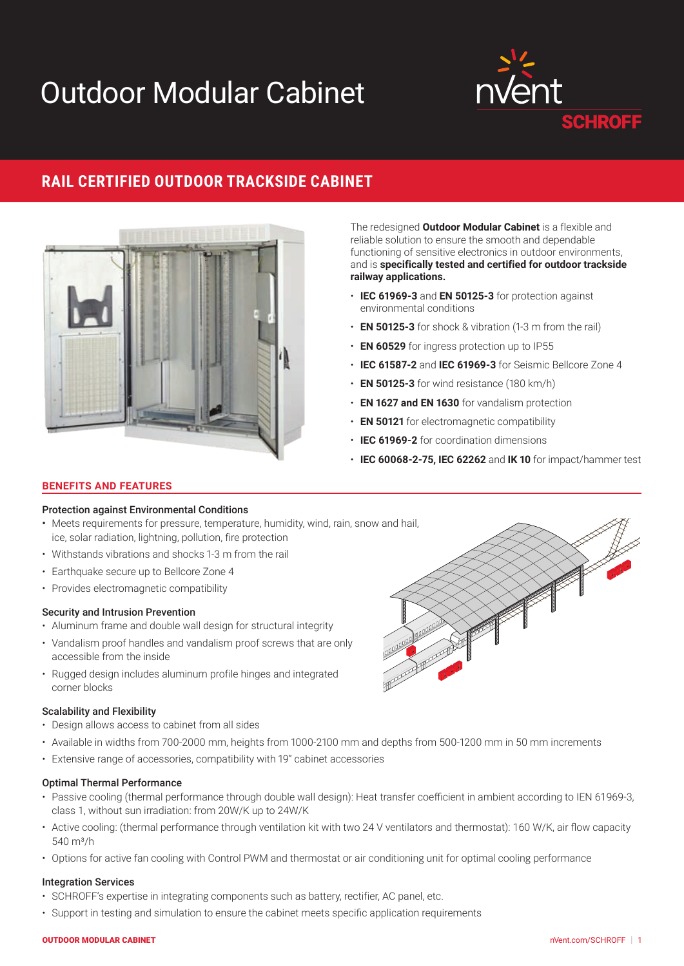# Outdoor Modular Cabinet



# **RAIL CERTIFIED OUTDOOR TRACKSIDE CABINET**



The redesigned **Outdoor Modular Cabinet** is a flexible and reliable solution to ensure the smooth and dependable functioning of sensitive electronics in outdoor environments, and is **specifically tested and certified for outdoor trackside railway applications.**

- **IEC 61969-3** and **EN 50125-3** for protection against environmental conditions
- **EN 50125-3** for shock & vibration (1-3 m from the rail)
- **EN 60529** for ingress protection up to IP55
- **IEC 61587-2** and **IEC 61969-3** for Seismic Bellcore Zone 4
- **EN 50125-3** for wind resistance (180 km/h)
- **EN 1627 and EN 1630** for vandalism protection
- **EN 50121** for electromagnetic compatibility
- **IEC 61969-2** for coordination dimensions
- **IEC 60068-2-75, IEC 62262** and **IK 10** for impact/hammer test

## **BENEFITS AND FEATURES**

## Protection against Environmental Conditions

- Meets requirements for pressure, temperature, humidity, wind, rain, snow and hail, ice, solar radiation, lightning, pollution, fire protection
- Withstands vibrations and shocks 1-3 m from the rail
- Earthquake secure up to Bellcore Zone 4
- Provides electromagnetic compatibility

#### Security and Intrusion Prevention

- Aluminum frame and double wall design for structural integrity
- Vandalism proof handles and vandalism proof screws that are only accessible from the inside
- Rugged design includes aluminum profile hinges and integrated corner blocks

#### Scalability and Flexibility

- Design allows access to cabinet from all sides
- Available in widths from 700-2000 mm, heights from 1000-2100 mm and depths from 500-1200 mm in 50 mm increments
- Extensive range of accessories, compatibility with 19" cabinet accessories

# Optimal Thermal Performance

- Passive cooling (thermal performance through double wall design): Heat transfer coefficient in ambient according to IEN 61969-3, class 1, without sun irradiation: from 20W/K up to 24W/K
- Active cooling: (thermal performance through ventilation kit with two 24 V ventilators and thermostat): 160 W/K, air flow capacity  $540 \,\mathrm{m}^3$ /h
- Options for active fan cooling with Control PWM and thermostat or air conditioning unit for optimal cooling performance

#### Integration Services

- SCHROFF's expertise in integrating components such as battery, rectifier, AC panel, etc.
- Support in testing and simulation to ensure the cabinet meets specific application requirements